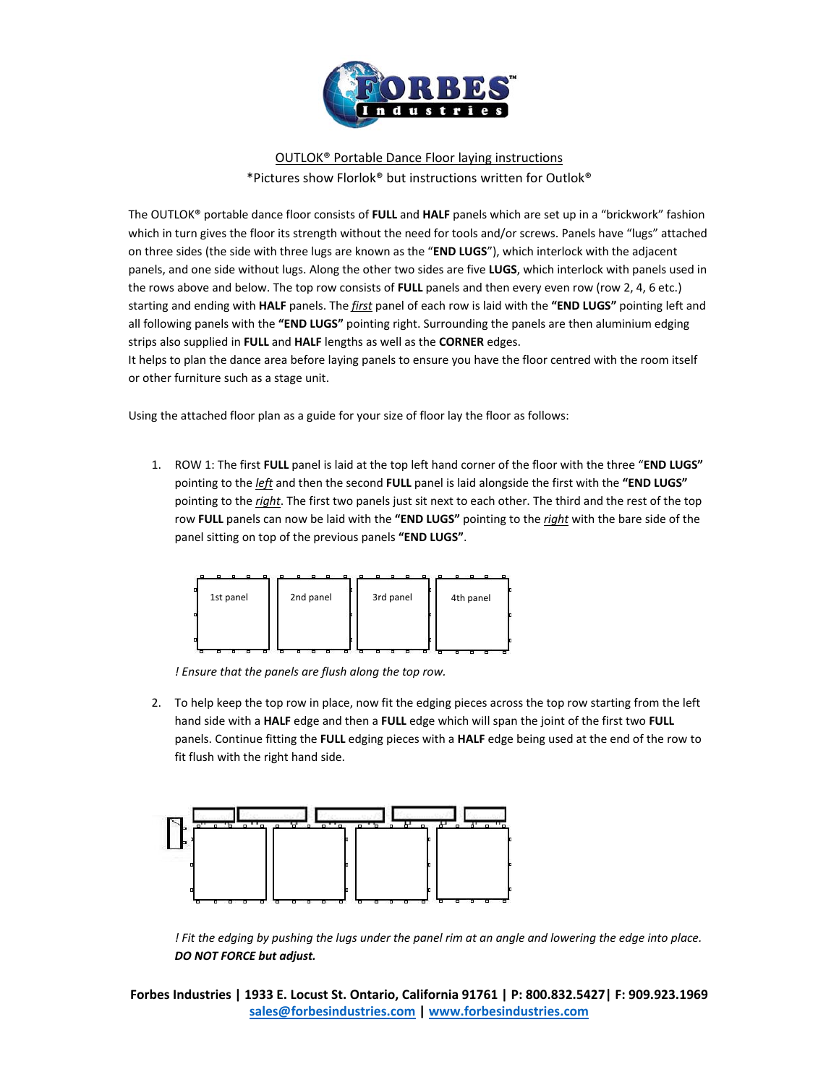

# OUTLOK® Portable Dance Floor laying instructions \*Pictures show Florlok® but instructions written for Outlok®

The OUTLOK® portable dance floor consists of **FULL** and **HALF** panels which are set up in a "brickwork" fashion which in turn gives the floor its strength without the need for tools and/or screws. Panels have "lugs" attached on three sides (the side with three lugs are known as the "**END LUGS**"), which interlock with the adjacent panels, and one side without lugs. Along the other two sides are five **LUGS**, which interlock with panels used in the rows above and below. The top row consists of **FULL** panels and then every even row (row 2, 4, 6 etc.) starting and ending with **HALF** panels. The *first* panel of each row is laid with the **"END LUGS"** pointing left and all following panels with the **"END LUGS"** pointing right. Surrounding the panels are then aluminium edging strips also supplied in **FULL** and **HALF** lengths as well as the **CORNER** edges.

It helps to plan the dance area before laying panels to ensure you have the floor centred with the room itself or other furniture such as a stage unit.

Using the attached floor plan as a guide for your size of floor lay the floor as follows:

1. ROW 1: The first **FULL** panel is laid at the top left hand corner of the floor with the three "**END LUGS"** pointing to the *left* and then the second **FULL** panel is laid alongside the first with the **"END LUGS"** pointing to the *right*. The first two panels just sit next to each other. The third and the rest of the top row **FULL** panels can now be laid with the **"END LUGS"** pointing to the *right* with the bare side of the panel sitting on top of the previous panels **"END LUGS"**.



*! Ensure that the panels are flush along the top row.*

2. To help keep the top row in place, now fit the edging pieces across the top row starting from the left hand side with a **HALF** edge and then a **FULL** edge which will span the joint of the first two **FULL** panels. Continue fitting the **FULL** edging pieces with a **HALF** edge being used at the end of the row to fit flush with the right hand side.



! Fit the edging by pushing the lugs under the panel rim at an angle and lowering the edge into place. *DO NOT FORCE but adjust.*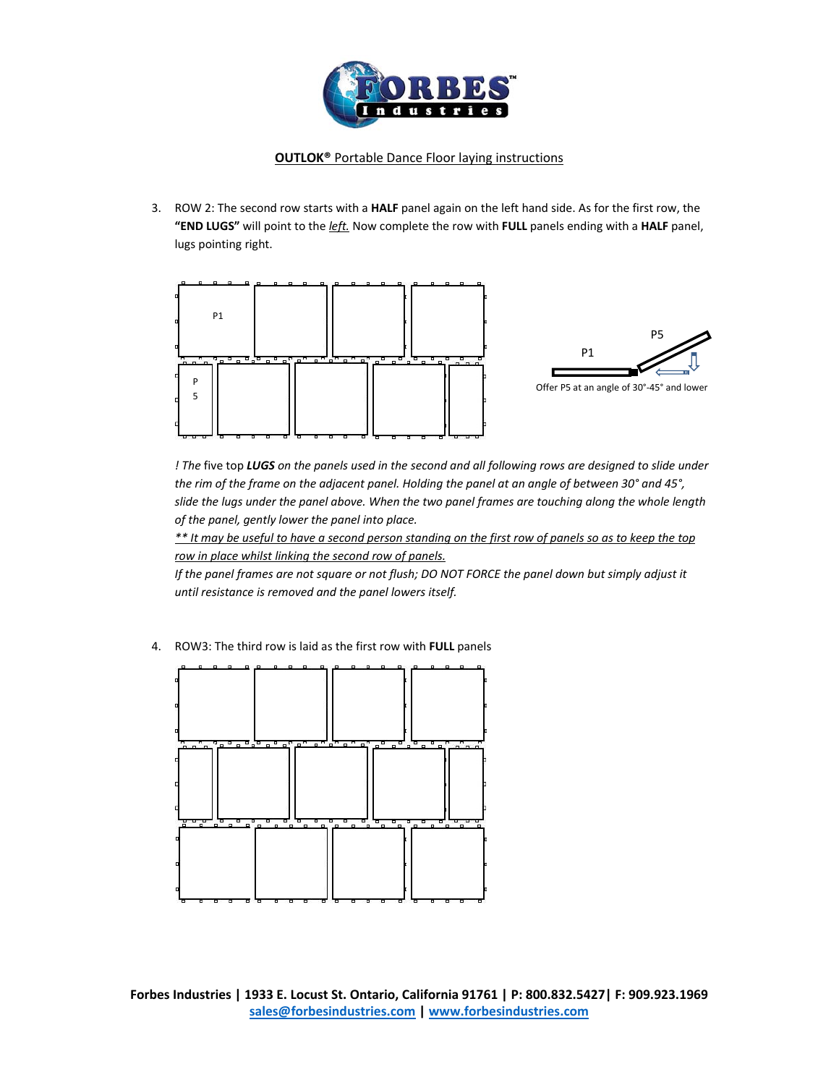

3. ROW 2: The second row starts with a **HALF** panel again on the left hand side. As for the first row, the **"END LUGS"** will point to the *left.* Now complete the row with **FULL** panels ending with a **HALF** panel, lugs pointing right.



! The five top LUGS on the panels used in the second and all following rows are designed to slide under the rim of the frame on the adjacent panel. Holding the panel at an angle of between 30° and 45°, slide the lugs under the panel above. When the two panel frames are touching along the whole length *of the panel, gently lower the panel into place.*

\*\* It may be useful to have a second person standing on the first row of panels so as to keep the top *row in place whilst linking the second row of panels.* 

If the panel frames are not square or not flush; DO NOT FORCE the panel down but simply adjust it *until resistance is removed and the panel lowers itself.*

4. ROW3: The third row is laid as the first row with **FULL** panels

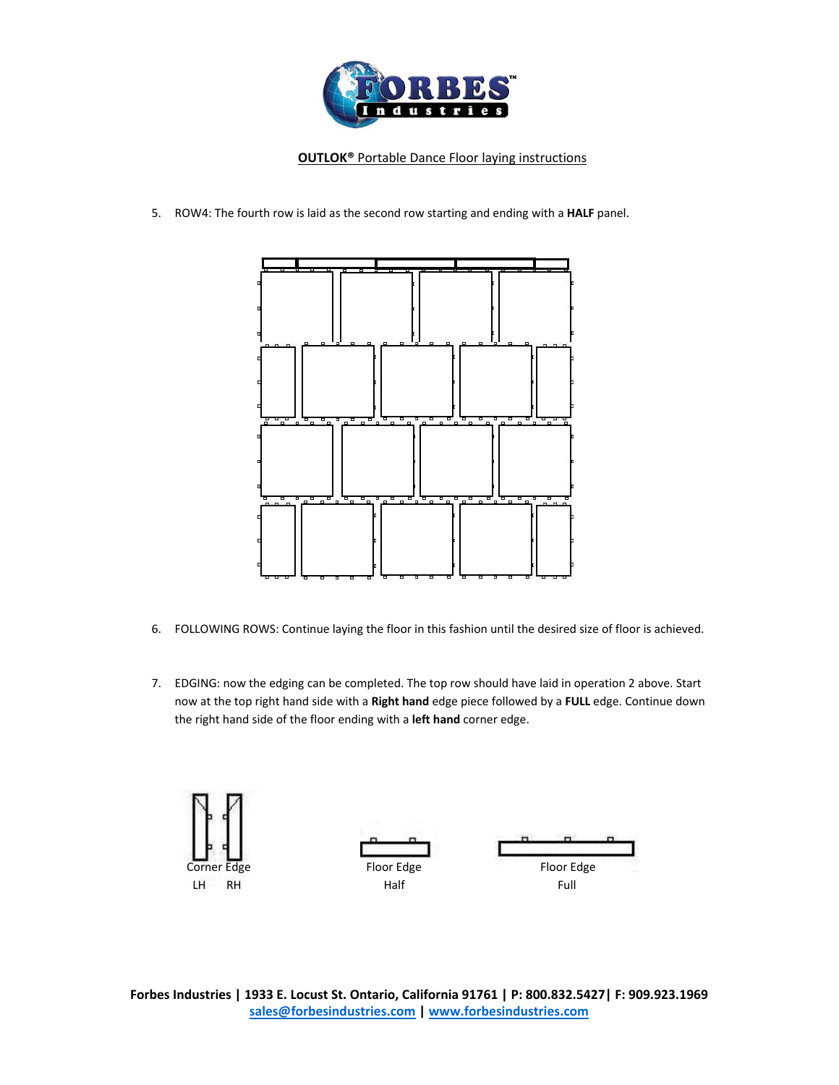

5. ROW4: The fourth row is laid as the second row starting and ending with a **HALF** panel.



- 6. FOLLOWING ROWS: Continue laying the floor in this fashion until the desired size of floor is achieved.
- 7. EDGING: now the edging can be completed. The top row should have laid in operation 2 above. Start now at the top right hand side with a **Right hand** edge piece followed by a **FULL** edge. Continue down the right hand side of the floor ending with a **left hand** corner edge.

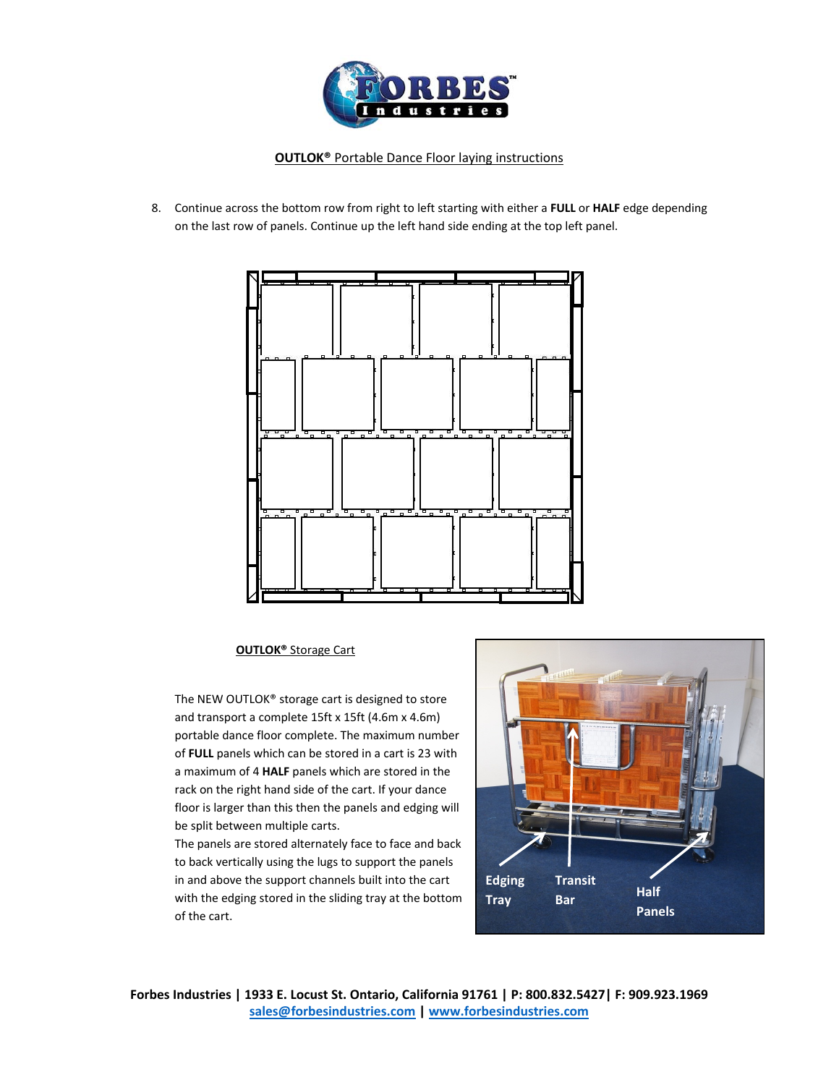

8. Continue across the bottom row from right to left starting with either a **FULL** or **HALF** edge depending on the last row of panels. Continue up the left hand side ending at the top left panel.



#### **OUTLOK®** Storage Cart

The NEW OUTLOK® storage cart is designed to store and transport a complete 15ft x 15ft (4.6m x 4.6m) portable dance floor complete. The maximum number of **FULL** panels which can be stored in a cart is 23 with a maximum of 4 **HALF** panels which are stored in the rack on the right hand side of the cart. If your dance floor is larger than this then the panels and edging will be split between multiple carts.

The panels are stored alternately face to face and back to back vertically using the lugs to support the panels in and above the support channels built into the cart with the edging stored in the sliding tray at the bottom of the cart.

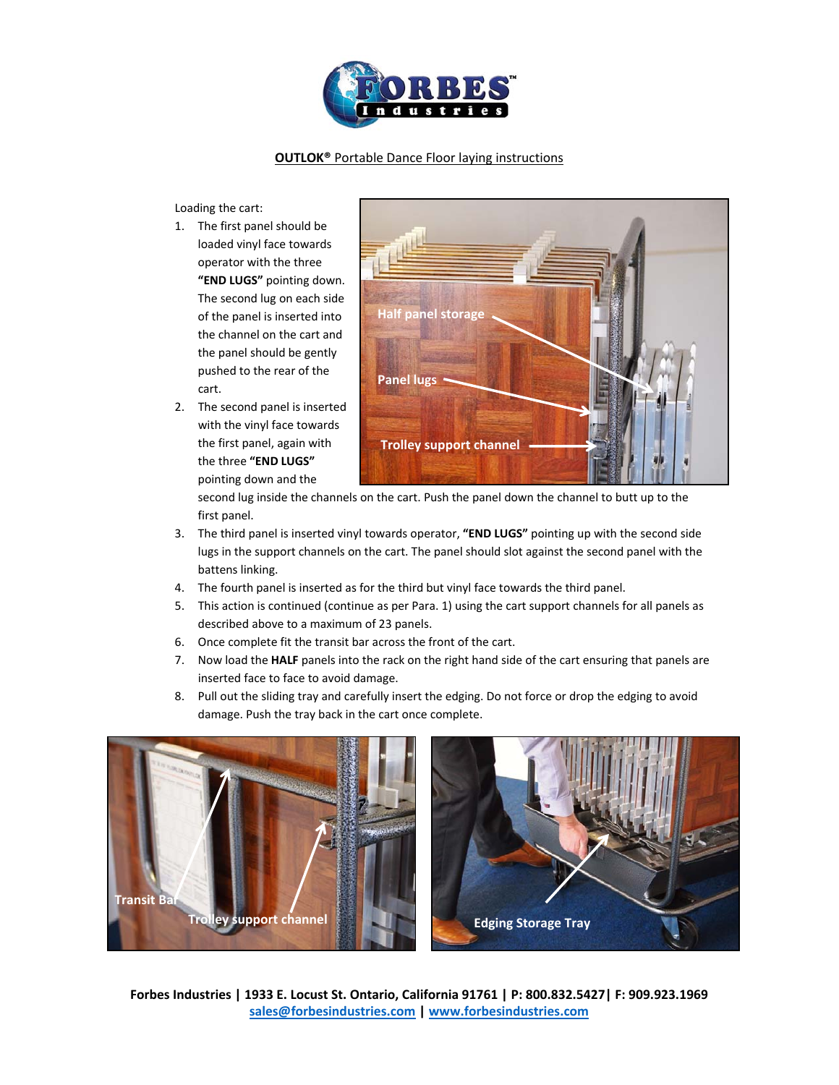

Loading the cart:

- 1. The first panel should be loaded vinyl face towards operator with the three **"END LUGS"** pointing down. The second lug on each side of the panel is inserted into the channel on the cart and the panel should be gently pushed to the rear of the cart.
- 2. The second panel is inserted with the vinyl face towards the first panel, again with the three **"END LUGS"** pointing down and the



second lug inside the channels on the cart. Push the panel down the channel to butt up to the first panel.

- 3. The third panel is inserted vinyl towards operator, **"END LUGS"** pointing up with the second side lugs in the support channels on the cart. The panel should slot against the second panel with the battens linking.
- 4. The fourth panel is inserted as for the third but vinyl face towards the third panel.
- 5. This action is continued (continue as per Para. 1) using the cart support channels for all panels as described above to a maximum of 23 panels.
- 6. Once complete fit the transit bar across the front of the cart.
- 7. Now load the **HALF** panels into the rack on the right hand side of the cart ensuring that panels are inserted face to face to avoid damage.
- 8. Pull out the sliding tray and carefully insert the edging. Do not force or drop the edging to avoid damage. Push the tray back in the cart once complete.